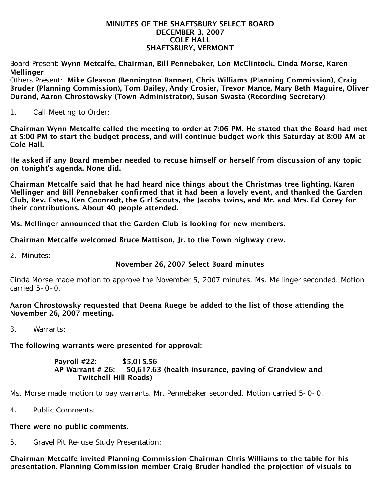#### MINUTES OF THE SHAFTSBURY SELECT BOARD DECEMBER 3, 2007 COLE HALL SHAFTSBURY, VERMONT

Board Present: Wynn Metcalfe, Chairman, Bill Pennebaker, Lon McClintock, Cinda Morse, Karen **Mellinger** 

Others Present: Mike Gleason (Bennington Banner), Chris Williams (Planning Commission), Craig Bruder (Planning Commission), Tom Dailey, Andy Crosier, Trevor Mance, Mary Beth Maguire, Oliver Durand, Aaron Chrostowsky (Town Administrator), Susan Swasta (Recording Secretary)

1. Call Meeting to Order:

Chairman Wynn Metcalfe called the meeting to order at 7:06 PM. He stated that the Board had met at 5:00 PM to start the budget process, and will continue budget work this Saturday at 8:00 AM at Cole Hall.

He asked if any Board member needed to recuse himself or herself from discussion of any topic on tonight's agenda. None did.

Chairman Metcalfe said that he had heard nice things about the Christmas tree lighting. Karen Mellinger and Bill Pennebaker confirmed that it had been a lovely event, and thanked the Garden Club, Rev. Estes, Ken Coonradt, the Girl Scouts, the Jacobs twins, and Mr. and Mrs. Ed Corey for their contributions. About 40 people attended.

Ms. Mellinger announced that the Garden Club is looking for new members.

Chairman Metcalfe welcomed Bruce Mattison, Jr. to the Town highway crew.

2. Minutes:

## November 26, 2007 Select Board minutes

Cinda Morse made motion to approve the November 5, 2007 minutes. Ms. Mellinger seconded. Motion carried 5-0-0.

### Aaron Chrostowsky requested that Deena Ruege be added to the list of those attending the November 26, 2007 meeting.

3. Warrants:

The following warrants were presented for approval:

### Payroll #22: \$5,015.56 AP Warrant # 26: 50,617.63 (health insurance, paving of Grandview and Twitchell Hill Roads)

Ms. Morse made motion to pay warrants. Mr. Pennebaker seconded. Motion carried 5-0-0.

4. Public Comments:

# There were no public comments.

5. Gravel Pit Re-use Study Presentation:

Chairman Metcalfe invited Planning Commission Chairman Chris Williams to the table for his presentation. Planning Commission member Craig Bruder handled the projection of visuals to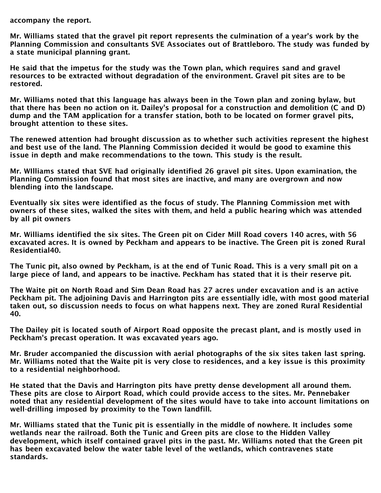accompany the report.

Mr. Williams stated that the gravel pit report represents the culmination of a year's work by the Planning Commission and consultants SVE Associates out of Brattleboro. The study was funded by a state municipal planning grant.

He said that the impetus for the study was the Town plan, which requires sand and gravel resources to be extracted without degradation of the environment. Gravel pit sites are to be restored.

Mr. Williams noted that this language has always been in the Town plan and zoning bylaw, but that there has been no action on it. Dailey's proposal for a construction and demolition (C and D) dump and the TAM application for a transfer station, both to be located on former gravel pits, brought attention to these sites.

The renewed attention had brought discussion as to whether such activities represent the highest and best use of the land. The Planning Commission decided it would be good to examine this issue in depth and make recommendations to the town. This study is the result.

Mr. WIlliams stated that SVE had originally identified 26 gravel pit sites. Upon examination, the Planning Commission found that most sites are inactive, and many are overgrown and now blending into the landscape.

Eventually six sites were identified as the focus of study. The Planning Commission met with owners of these sites, walked the sites with them, and held a public hearing which was attended by all pit owners

Mr. Williams identified the six sites. The Green pit on Cider Mill Road covers 140 acres, with 56 excavated acres. It is owned by Peckham and appears to be inactive. The Green pit is zoned Rural Residential40.

The Tunic pit, also owned by Peckham, is at the end of Tunic Road. This is a very small pit on a large piece of land, and appears to be inactive. Peckham has stated that it is their reserve pit.

The Waite pit on North Road and Sim Dean Road has 27 acres under excavation and is an active Peckham pit. The adjoining Davis and Harrington pits are essentially idle, with most good material taken out, so discussion needs to focus on what happens next. They are zoned Rural Residential 40.

The Dailey pit is located south of Airport Road opposite the precast plant, and is mostly used in Peckham's precast operation. It was excavated years ago.

Mr. Bruder accompanied the discussion with aerial photographs of the six sites taken last spring. Mr. Williams noted that the Waite pit is very close to residences, and a key issue is this proximity to a residential neighborhood.

He stated that the Davis and Harrington pits have pretty dense development all around them. These pits are close to Airport Road, which could provide access to the sites. Mr. Pennebaker noted that any residential development of the sites would have to take into account limitations on well-drilling imposed by proximity to the Town landfill.

Mr. Williams stated that the Tunic pit is essentially in the middle of nowhere. It includes some wetlands near the railroad. Both the Tunic and Green pits are close to the Hidden Valley development, which itself contained gravel pits in the past. Mr. Williams noted that the Green pit has been excavated below the water table level of the wetlands, which contravenes state standards.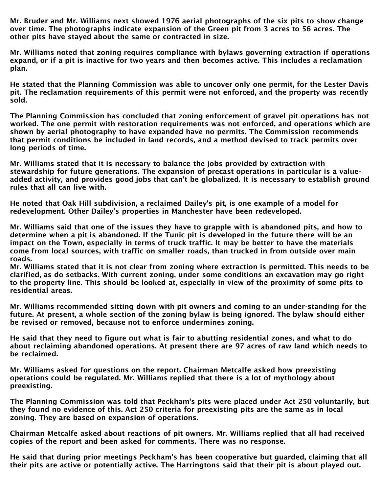Mr. Bruder and Mr. Williams next showed 1976 aerial photographs of the six pits to show change over time. The photographs indicate expansion of the Green pit from 3 acres to 56 acres. The other pits have stayed about the same or contracted in size.

Mr. Williams noted that zoning requires compliance with bylaws governing extraction if operations expand, or if a pit is inactive for two years and then becomes active. This includes a reclamation plan.

He stated that the Planning Commission was able to uncover only one permit, for the Lester Davis pit. The reclamation requirements of this permit were not enforced, and the property was recently sold.

The Planning Commission has concluded that zoning enforcement of gravel pit operations has not worked. The one permit with restoration requirements was not enforced, and operations which are shown by aerial photography to have expanded have no permits. The Commission recommends that permit conditions be included in land records, and a method devised to track permits over long periods of time.

Mr. Williams stated that it is necessary to balance the jobs provided by extraction with stewardship for future generations. The expansion of precast operations in particular is a valueadded activity, and provides good jobs that can't be globalized. It is necessary to establish ground rules that all can live with.

He noted that Oak Hill subdivision, a reclaimed Dailey's pit, is one example of a model for redevelopment. Other Dailey's properties in Manchester have been redeveloped.

Mr. Williams said that one of the issues they have to grapple with is abandoned pits, and how to determine when a pit is abandoned. If the Tunic pit is developed in the future there will be an impact on the Town, especially in terms of truck traffic. It may be better to have the materials come from local sources, with traffic on smaller roads, than trucked in from outside over main roads.

Mr. Williams stated that it is not clear from zoning where extraction is permitted. This needs to be clarified, as do setbacks. With current zoning, under some conditions an excavation may go right to the property line. This should be looked at, especially in view of the proximity of some pits to residential areas.

Mr. Williams recommended sitting down with pit owners and coming to an under-standing for the future. At present, a whole section of the zoning bylaw is being ignored. The bylaw should either be revised or removed, because not to enforce undermines zoning.

He said that they need to figure out what is fair to abutting residential zones, and what to do about reclaiming abandoned operations. At present there are 97 acres of raw land which needs to be reclaimed.

Mr. Williams asked for questions on the report. Chairman Metcalfe asked how preexisting operations could be regulated. Mr. Williams replied that there is a lot of mythology about preexisting.

The Planning Commission was told that Peckham's pits were placed under Act 250 voluntarily, but they found no evidence of this. Act 250 criteria for preexisting pits are the same as in local zoning. They are based on expansion of operations.

Chairman Metcalfe asked about reactions of pit owners. Mr. Williams replied that all had received copies of the report and been asked for comments. There was no response.

He said that during prior meetings Peckham's has been cooperative but guarded, claiming that all their pits are active or potentially active. The Harringtons said that their pit is about played out.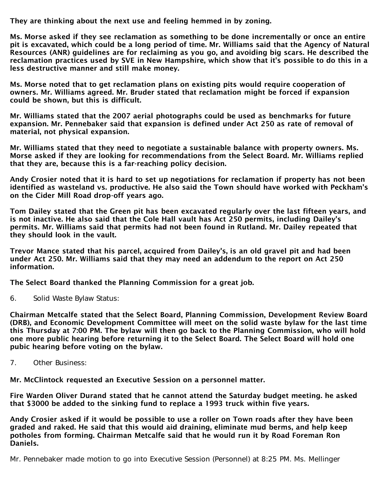They are thinking about the next use and feeling hemmed in by zoning.

Ms. Morse asked if they see reclamation as something to be done incrementally or once an entire pit is excavated, which could be a long period of time. Mr. Williams said that the Agency of Natural Resources (ANR) guidelines are for reclaiming as you go, and avoiding big scars. He described the reclamation practices used by SVE in New Hampshire, which show that it's possible to do this in a less destructive manner and still make money.

Ms. Morse noted that to get reclamation plans on existing pits would require cooperation of owners. Mr. Williams agreed. Mr. Bruder stated that reclamation might be forced if expansion could be shown, but this is difficult.

Mr. Williams stated that the 2007 aerial photographs could be used as benchmarks for future expansion. Mr. Pennebaker said that expansion is defined under Act 250 as rate of removal of material, not physical expansion.

Mr. Williams stated that they need to negotiate a sustainable balance with property owners. Ms. Morse asked if they are looking for recommendations from the Select Board. Mr. Williams replied that they are, because this is a far-reaching policy decision.

Andy Crosier noted that it is hard to set up negotiations for reclamation if property has not been identified as wasteland vs. productive. He also said the Town should have worked with Peckham's on the Cider Mill Road drop-off years ago.

Tom Dailey stated that the Green pit has been excavated regularly over the last fifteen years, and is not inactive. He also said that the Cole Hall vault has Act 250 permits, including Dailey's permits. Mr. Williams said that permits had not been found in Rutland. Mr. Dailey repeated that they should look in the vault.

Trevor Mance stated that his parcel, acquired from Dailey's, is an old gravel pit and had been under Act 250. Mr. Williams said that they may need an addendum to the report on Act 250 information.

The Select Board thanked the Planning Commission for a great job.

6. Solid Waste Bylaw Status:

Chairman Metcalfe stated that the Select Board, Planning Commission, Development Review Board (DRB), and Economic Development Committee will meet on the solid waste bylaw for the last time this Thursday at 7:00 PM. The bylaw will then go back to the Planning Commission, who will hold one more public hearing before returning it to the Select Board. The Select Board will hold one pubic hearing before voting on the bylaw.

7. Other Business:

Mr. McClintock requested an Executive Session on a personnel matter.

Fire Warden Oliver Durand stated that he cannot attend the Saturday budget meeting. he asked that \$3000 be added to the sinking fund to replace a 1993 truck within five years.

Andy Crosier asked if it would be possible to use a roller on Town roads after they have been graded and raked. He said that this would aid draining, eliminate mud berms, and help keep potholes from forming. Chairman Metcalfe said that he would run it by Road Foreman Ron Daniels.

Mr. Pennebaker made motion to go into Executive Session (Personnel) at 8:25 PM. Ms. Mellinger